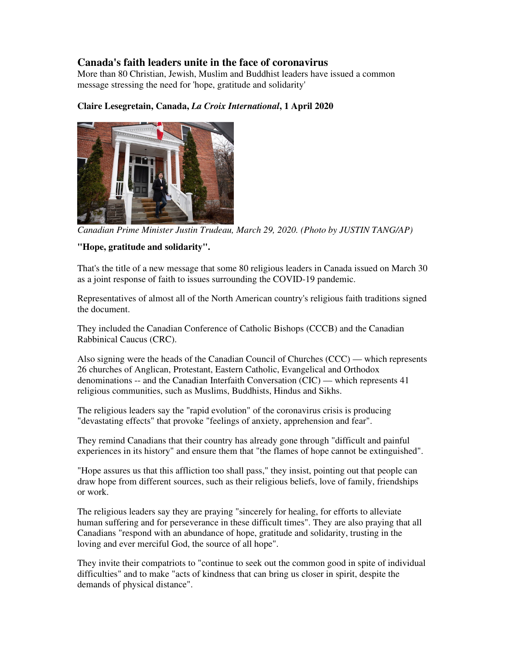## **Canada's faith leaders unite in the face of coronavirus**

More than 80 Christian, Jewish, Muslim and Buddhist leaders have issued a common message stressing the need for 'hope, gratitude and solidarity'

## **Claire Lesegretain, Canada,** *La Croix International***, 1 April 2020**



*Canadian Prime Minister Justin Trudeau, March 29, 2020. (Photo by JUSTIN TANG/AP)*

## **"Hope, gratitude and solidarity".**

That's the title of a new message that some 80 religious leaders in Canada issued on March 30 as a joint response of faith to issues surrounding the COVID-19 pandemic.

Representatives of almost all of the North American country's religious faith traditions signed the document.

They included the Canadian Conference of Catholic Bishops (CCCB) and the Canadian Rabbinical Caucus (CRC).

Also signing were the heads of the Canadian Council of Churches (CCC) — which represents 26 churches of Anglican, Protestant, Eastern Catholic, Evangelical and Orthodox denominations -- and the Canadian Interfaith Conversation (CIC) — which represents 41 religious communities, such as Muslims, Buddhists, Hindus and Sikhs.

The religious leaders say the "rapid evolution" of the coronavirus crisis is producing "devastating effects" that provoke "feelings of anxiety, apprehension and fear".

They remind Canadians that their country has already gone through "difficult and painful experiences in its history" and ensure them that "the flames of hope cannot be extinguished".

"Hope assures us that this affliction too shall pass," they insist, pointing out that people can draw hope from different sources, such as their religious beliefs, love of family, friendships or work.

The religious leaders say they are praying "sincerely for healing, for efforts to alleviate human suffering and for perseverance in these difficult times". They are also praying that all Canadians "respond with an abundance of hope, gratitude and solidarity, trusting in the loving and ever merciful God, the source of all hope".

They invite their compatriots to "continue to seek out the common good in spite of individual difficulties" and to make "acts of kindness that can bring us closer in spirit, despite the demands of physical distance".